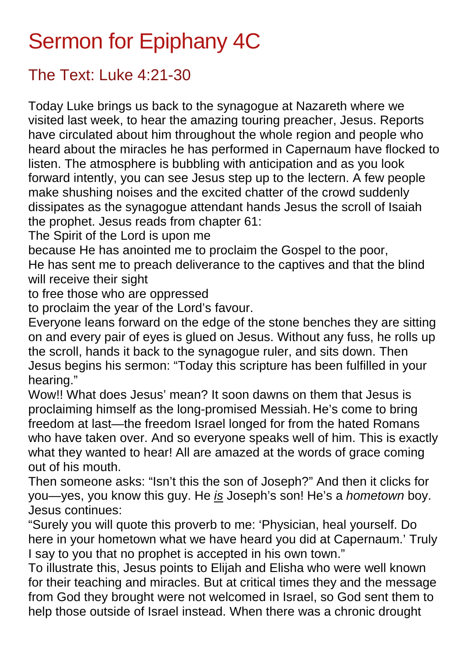## Sermon for Epiphany 4C

## The Text: Luke 4:21-30

Today Luke brings us back to the synagogue at Nazareth where we visited last week, to hear the amazing touring preacher, Jesus. Reports have circulated about him throughout the whole region and people who heard about the miracles he has performed in Capernaum have flocked to listen. The atmosphere is bubbling with anticipation and as you look forward intently, you can see Jesus step up to the lectern. A few people make shushing noises and the excited chatter of the crowd suddenly dissipates as the synagogue attendant hands Jesus the scroll of Isaiah the prophet. Jesus reads from chapter 61:

The Spirit of the Lord is upon me

because He has anointed me to proclaim the Gospel to the poor, He has sent me to preach deliverance to the captives and that the blind will receive their sight

to free those who are oppressed

to proclaim the year of the Lord's favour.

Everyone leans forward on the edge of the stone benches they are sitting on and every pair of eyes is glued on Jesus. Without any fuss, he rolls up the scroll, hands it back to the synagogue ruler, and sits down. Then Jesus begins his sermon: "Today this scripture has been fulfilled in your hearing."

Wow!! What does Jesus' mean? It soon dawns on them that Jesus is proclaiming himself as the long-promised Messiah. He's come to bring freedom at last—the freedom Israel longed for from the hated Romans who have taken over. And so everyone speaks well of him. This is exactly what they wanted to hear! All are amazed at the words of grace coming out of his mouth.

Then someone asks: "Isn't this the son of Joseph?" And then it clicks for you—yes, you know this guy. He *is* Joseph's son! He's a *hometown* boy. Jesus continues:

"Surely you will quote this proverb to me: 'Physician, heal yourself. Do here in your hometown what we have heard you did at Capernaum.' Truly I say to you that no prophet is accepted in his own town."

To illustrate this, Jesus points to Elijah and Elisha who were well known for their teaching and miracles. But at critical times they and the message from God they brought were not welcomed in Israel, so God sent them to help those outside of Israel instead. When there was a chronic drought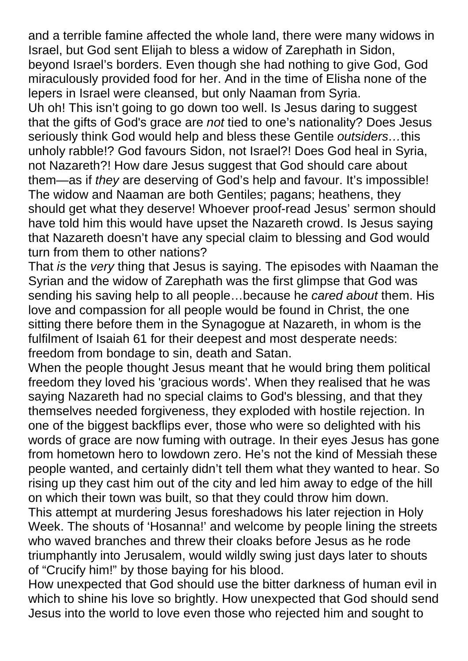and a terrible famine affected the whole land, there were many widows in Israel, but God sent Elijah to bless a widow of Zarephath in Sidon, beyond Israel's borders. Even though she had nothing to give God, God miraculously provided food for her. And in the time of Elisha none of the lepers in Israel were cleansed, but only Naaman from Syria.

Uh oh! This isn't going to go down too well. Is Jesus daring to suggest that the gifts of God's grace are *not* tied to one's nationality? Does Jesus seriously think God would help and bless these Gentile *outsiders…*this unholy rabble!? God favours Sidon, not Israel?! Does God heal in Syria, not Nazareth?! How dare Jesus suggest that God should care about them—as if *they* are deserving of God's help and favour. It's impossible! The widow and Naaman are both Gentiles; pagans; heathens, they should get what they deserve! Whoever proof-read Jesus' sermon should have told him this would have upset the Nazareth crowd. Is Jesus saying that Nazareth doesn't have any special claim to blessing and God would turn from them to other nations?

That *is* the *very* thing that Jesus is saying. The episodes with Naaman the Syrian and the widow of Zarephath was the first glimpse that God was sending his saving help to all people…because he *cared about* them. His love and compassion for all people would be found in Christ, the one sitting there before them in the Synagogue at Nazareth, in whom is the fulfilment of Isaiah 61 for their deepest and most desperate needs: freedom from bondage to sin, death and Satan.

When the people thought Jesus meant that he would bring them political freedom they loved his 'gracious words'. When they realised that he was saying Nazareth had no special claims to God's blessing, and that they themselves needed forgiveness, they exploded with hostile rejection. In one of the biggest backflips ever, those who were so delighted with his words of grace are now fuming with outrage. In their eyes Jesus has gone from hometown hero to lowdown zero. He's not the kind of Messiah these people wanted, and certainly didn't tell them what they wanted to hear. So rising up they cast him out of the city and led him away to edge of the hill on which their town was built, so that they could throw him down.

This attempt at murdering Jesus foreshadows his later rejection in Holy Week. The shouts of 'Hosanna!' and welcome by people lining the streets who waved branches and threw their cloaks before Jesus as he rode triumphantly into Jerusalem, would wildly swing just days later to shouts of "Crucify him!" by those baying for his blood.

How unexpected that God should use the bitter darkness of human evil in which to shine his love so brightly. How unexpected that God should send Jesus into the world to love even those who rejected him and sought to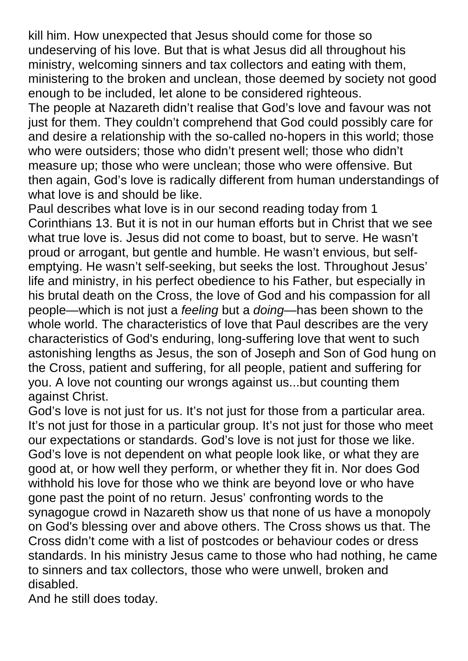kill him. How unexpected that Jesus should come for those so undeserving of his love. But that is what Jesus did all throughout his ministry, welcoming sinners and tax collectors and eating with them, ministering to the broken and unclean, those deemed by society not good enough to be included, let alone to be considered righteous.

The people at Nazareth didn't realise that God's love and favour was not just for them. They couldn't comprehend that God could possibly care for and desire a relationship with the so-called no-hopers in this world; those who were outsiders; those who didn't present well; those who didn't measure up; those who were unclean; those who were offensive. But then again, God's love is radically different from human understandings of what love is and should be like.

Paul describes what love is in our second reading today from 1 Corinthians 13. But it is not in our human efforts but in Christ that we see what true love is. Jesus did not come to boast, but to serve. He wasn't proud or arrogant, but gentle and humble. He wasn't envious, but selfemptying. He wasn't self-seeking, but seeks the lost. Throughout Jesus' life and ministry, in his perfect obedience to his Father, but especially in his brutal death on the Cross, the love of God and his compassion for all people—which is not just a *feeling* but a *doing*—has been shown to the whole world. The characteristics of love that Paul describes are the very characteristics of God's enduring, long-suffering love that went to such astonishing lengths as Jesus, the son of Joseph and Son of God hung on the Cross, patient and suffering, for all people, patient and suffering for you. A love not counting our wrongs against us...but counting them against Christ.

God's love is not just for us. It's not just for those from a particular area. It's not just for those in a particular group. It's not just for those who meet our expectations or standards. God's love is not just for those we like. God's love is not dependent on what people look like, or what they are good at, or how well they perform, or whether they fit in. Nor does God withhold his love for those who we think are beyond love or who have gone past the point of no return. Jesus' confronting words to the synagogue crowd in Nazareth show us that none of us have a monopoly on God's blessing over and above others. The Cross shows us that. The Cross didn't come with a list of postcodes or behaviour codes or dress standards. In his ministry Jesus came to those who had nothing, he came to sinners and tax collectors, those who were unwell, broken and disabled.

And he still does today.